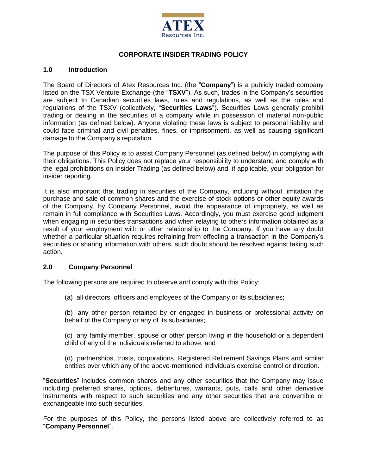

# **CORPORATE INSIDER TRADING POLICY**

#### **1.0 Introduction**

The Board of Directors of Atex Resources Inc. (the "**Company**") is a publicly traded company listed on the TSX Venture Exchange (the "**TSXV**"). As such, trades in the Company's securities are subject to Canadian securities laws, rules and regulations, as well as the rules and regulations of the TSXV (collectively, "**Securities Laws**"). Securities Laws generally prohibit trading or dealing in the securities of a company while in possession of material non-public information (as defined below). Anyone violating these laws is subject to personal liability and could face criminal and civil penalties, fines, or imprisonment, as well as causing significant damage to the Company's reputation.

The purpose of this Policy is to assist Company Personnel (as defined below) in complying with their obligations. This Policy does not replace your responsibility to understand and comply with the legal prohibitions on Insider Trading (as defined below) and, if applicable, your obligation for insider reporting.

It is also important that trading in securities of the Company, including without limitation the purchase and sale of common shares and the exercise of stock options or other equity awards of the Company, by Company Personnel, avoid the appearance of impropriety, as well as remain in full compliance with Securities Laws. Accordingly, you must exercise good judgment when engaging in securities transactions and when relaying to others information obtained as a result of your employment with or other relationship to the Company. If you have any doubt whether a particular situation requires refraining from effecting a transaction in the Company's securities or sharing information with others, such doubt should be resolved against taking such action.

# **2.0 Company Personnel**

The following persons are required to observe and comply with this Policy:

(a) all directors, officers and employees of the Company or its subsidiaries;

(b) any other person retained by or engaged in business or professional activity on behalf of the Company or any of its subsidiaries;

(c) any family member, spouse or other person living in the household or a dependent child of any of the individuals referred to above; and

(d) partnerships, trusts, corporations, Registered Retirement Savings Plans and similar entities over which any of the above-mentioned individuals exercise control or direction.

"**Securities**" includes common shares and any other securities that the Company may issue including preferred shares, options, debentures, warrants, puts, calls and other derivative instruments with respect to such securities and any other securities that are convertible or exchangeable into such securities.

For the purposes of this Policy, the persons listed above are collectively referred to as "**Company Personnel**".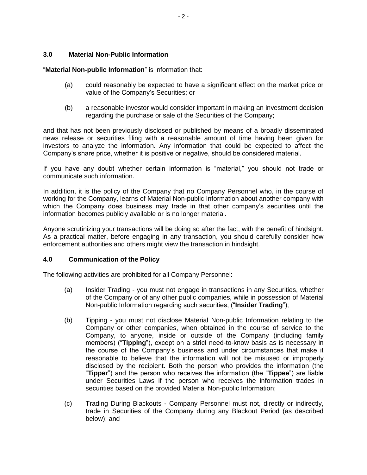#### **3.0 Material Non-Public Information**

"**Material Non-public Information**" is information that:

- (a) could reasonably be expected to have a significant effect on the market price or value of the Company's Securities; or
- (b) a reasonable investor would consider important in making an investment decision regarding the purchase or sale of the Securities of the Company;

and that has not been previously disclosed or published by means of a broadly disseminated news release or securities filing with a reasonable amount of time having been given for investors to analyze the information. Any information that could be expected to affect the Company's share price, whether it is positive or negative, should be considered material.

If you have any doubt whether certain information is "material," you should not trade or communicate such information.

In addition, it is the policy of the Company that no Company Personnel who, in the course of working for the Company, learns of Material Non-public Information about another company with which the Company does business may trade in that other company's securities until the information becomes publicly available or is no longer material.

Anyone scrutinizing your transactions will be doing so after the fact, with the benefit of hindsight. As a practical matter, before engaging in any transaction, you should carefully consider how enforcement authorities and others might view the transaction in hindsight.

#### **4.0 Communication of the Policy**

The following activities are prohibited for all Company Personnel:

- (a) Insider Trading you must not engage in transactions in any Securities, whether of the Company or of any other public companies, while in possession of Material Non-public Information regarding such securities, ("**Insider Trading**");
- (b) Tipping you must not disclose Material Non-public Information relating to the Company or other companies, when obtained in the course of service to the Company, to anyone, inside or outside of the Company (including family members) ("**Tipping**"), except on a strict need-to-know basis as is necessary in the course of the Company's business and under circumstances that make it reasonable to believe that the information will not be misused or improperly disclosed by the recipient. Both the person who provides the information (the "**Tipper**") and the person who receives the information (the "**Tippee**") are liable under Securities Laws if the person who receives the information trades in securities based on the provided Material Non-public Information;
- (c) Trading During Blackouts Company Personnel must not, directly or indirectly, trade in Securities of the Company during any Blackout Period (as described below); and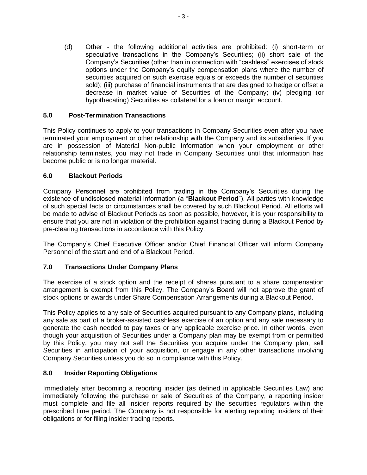(d) Other - the following additional activities are prohibited: (i) short-term or speculative transactions in the Company's Securities; (ii) short sale of the Company's Securities (other than in connection with "cashless" exercises of stock options under the Company's equity compensation plans where the number of securities acquired on such exercise equals or exceeds the number of securities sold); (iii) purchase of financial instruments that are designed to hedge or offset a decrease in market value of Securities of the Company; (iv) pledging (or hypothecating) Securities as collateral for a loan or margin account.

# **5.0 Post-Termination Transactions**

This Policy continues to apply to your transactions in Company Securities even after you have terminated your employment or other relationship with the Company and its subsidiaries. If you are in possession of Material Non-public Information when your employment or other relationship terminates, you may not trade in Company Securities until that information has become public or is no longer material.

## **6.0 Blackout Periods**

Company Personnel are prohibited from trading in the Company's Securities during the existence of undisclosed material information (a "**Blackout Period**"). All parties with knowledge of such special facts or circumstances shall be covered by such Blackout Period. All efforts will be made to advise of Blackout Periods as soon as possible, however, it is your responsibility to ensure that you are not in violation of the prohibition against trading during a Blackout Period by pre-clearing transactions in accordance with this Policy.

The Company's Chief Executive Officer and/or Chief Financial Officer will inform Company Personnel of the start and end of a Blackout Period.

# **7.0 Transactions Under Company Plans**

The exercise of a stock option and the receipt of shares pursuant to a share compensation arrangement is exempt from this Policy. The Company's Board will not approve the grant of stock options or awards under Share Compensation Arrangements during a Blackout Period.

This Policy applies to any sale of Securities acquired pursuant to any Company plans, including any sale as part of a broker-assisted cashless exercise of an option and any sale necessary to generate the cash needed to pay taxes or any applicable exercise price. In other words, even though your acquisition of Securities under a Company plan may be exempt from or permitted by this Policy, you may not sell the Securities you acquire under the Company plan, sell Securities in anticipation of your acquisition, or engage in any other transactions involving Company Securities unless you do so in compliance with this Policy.

## **8.0 Insider Reporting Obligations**

Immediately after becoming a reporting insider (as defined in applicable Securities Law) and immediately following the purchase or sale of Securities of the Company, a reporting insider must complete and file all insider reports required by the securities regulators within the prescribed time period. The Company is not responsible for alerting reporting insiders of their obligations or for filing insider trading reports.